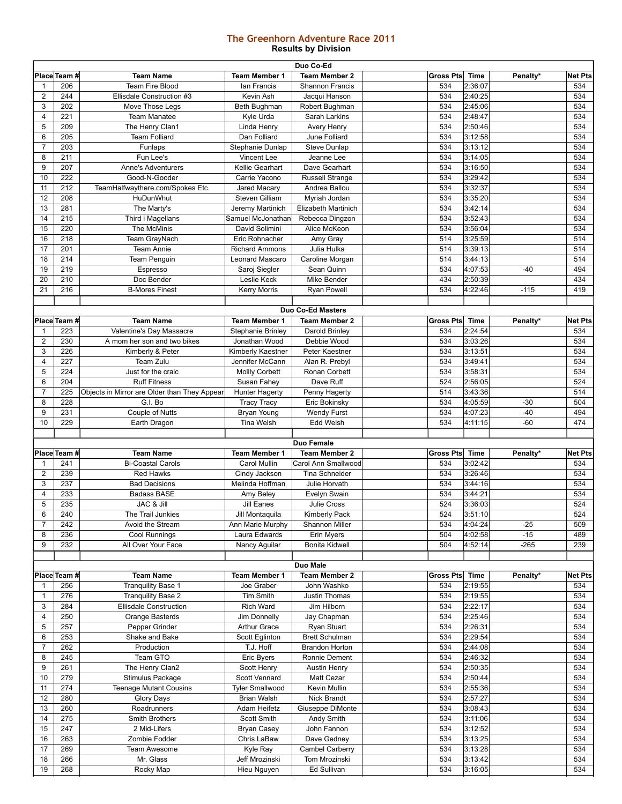## **The Greenhorn Adventure Race 2011 Results by Division**

| Duo Co-Ed      |              |                                              |                               |                              |                  |                    |          |                |
|----------------|--------------|----------------------------------------------|-------------------------------|------------------------------|------------------|--------------------|----------|----------------|
|                | Place Team # | <b>Team Name</b>                             | <b>Team Member 1</b>          | <b>Team Member 2</b>         | <b>Gross Pts</b> | <b>Time</b>        | Penalty* | <b>Net Pts</b> |
| 1              | 206          | <b>Team Fire Blood</b>                       | lan Francis                   | Shannon Francis              | 534              | 2:36:07            |          | 534            |
| 2              | 244          | Ellisdale Construction #3                    | Kevin Ash                     | Jacqui Hanson                | 534              | 2:40:25            |          | 534            |
| 3              | 202          | Move Those Legs                              | Beth Bughman                  | Robert Bughman               | 534              | 2:45:06            |          | 534            |
| 4              | 221          | <b>Team Manatee</b>                          | Kyle Urda                     | Sarah Larkins                | 534              | 2:48:47            |          | 534            |
| 5              | 209          | The Henry Clan1                              | Linda Henry                   | Avery Henry                  | 534              | 2:50:46            |          | 534            |
| 6              | 205          | <b>Team Folliard</b>                         | Dan Folliard                  | June Folliard                | 534              | 3:12:58            |          | 534            |
| $\overline{7}$ | 203          | Funlaps                                      | Stephanie Dunlap              | <b>Steve Dunlap</b>          | 534              | 3:13:12            |          | 534            |
| 8              | 211          | Fun Lee's                                    | Vincent Lee                   | Jeanne Lee                   | 534              | 3:14:05            |          | 534            |
|                |              |                                              |                               |                              |                  |                    |          |                |
| 9              | 207          | <b>Anne's Adventurers</b>                    | Kellie Gearhart               | Dave Gearhart                | 534              | 3:16:50            |          | 534            |
| 10             | 222          | Good-N-Gooder                                | Carrie Yacono                 | <b>Russell Strange</b>       | 534              | 3:29:42            |          | 534            |
| 11             | 212          | TeamHalfwaythere.com/Spokes Etc.             | Jared Macary                  | Andrea Ballou                | 534              | 3:32:37            |          | 534            |
| 12             | 208          | HuDunWhut                                    | Steven Gilliam                | Myriah Jordan                | 534              | 3:35:20            |          | 534            |
| 13             | 281          | The Marty's                                  | Jeremy Martinich              | Elizabeth Martinich          | 534              | 3:42:14            |          | 534            |
| 14             | 215          | Third i Magellans                            | Samuel McJonathan             | Rebecca Dingzon              | 534              | 3:52:43            |          | 534            |
| 15             | 220          | The McMinis                                  | David Solimini                | Alice McKeon                 | 534              | 3:56:04            |          | 534            |
| 16             | 218          | Team GrayNach                                | Eric Rohnacher                | Amy Gray                     | 514              | 3:25:59            |          | 514            |
| 17             | 201          | <b>Team Annie</b>                            | <b>Richard Ammons</b>         | Julia Hulka                  | 514              | 3:39:13            |          | 514            |
| 18             | 214          | <b>Team Penguin</b>                          | Leonard Mascaro               | Caroline Morgan              | 514              | 3:44:13            |          | 514            |
| 19             | 219          | Espresso                                     | Saroj Siegler                 | Sean Quinn                   | 534              | 4:07:53            | $-40$    | 494            |
| 20             | 210          | Doc Bender                                   | Leslie Keck                   | Mike Bender                  | 434              | 2:50:39            |          | 434            |
| 21             | 216          | <b>B-Mores Finest</b>                        |                               |                              | 534              | 4:22:46            | $-115$   | 419            |
|                |              |                                              | <b>Kerry Morris</b>           | <b>Ryan Powell</b>           |                  |                    |          |                |
|                |              |                                              |                               |                              |                  |                    |          |                |
|                |              |                                              |                               | <b>Duo Co-Ed Masters</b>     |                  |                    |          |                |
|                | Place Team # | <b>Team Name</b>                             | <b>Team Member 1</b>          | <b>Team Member 2</b>         | <b>Gross Pts</b> | <b>Time</b>        | Penalty* | <b>Net Pts</b> |
|                | 223          | Valentine's Day Massacre                     | <b>Stephanie Brinley</b>      | Darold Brinley               | 534              | 2:24:54            |          | 534            |
| $\overline{2}$ | 230          | A mom her son and two bikes                  | Jonathan Wood                 | Debbie Wood                  | 534              | 3:03:26            |          | 534            |
| 3              | 226          | Kimberly & Peter                             | Kimberly Kaestner             | Peter Kaestner               | 534              | 3:13:51            |          | 534            |
| 4              | 227          | Team Zulu                                    | Jennifer McCann               | Alan R. Prebyl               | 534              | 3:49:41            |          | 534            |
| 5              | 224          | Just for the craic                           | <b>Mollly Corbett</b>         | Ronan Corbett                | 534              | 3:58:31            |          | 534            |
| 6              | 204          | <b>Ruff Fitness</b>                          | Susan Fahey                   | Dave Ruff                    | 524              | 2:56:05            |          | 524            |
| $\overline{7}$ | 225          | Objects in Mirror are Older than They Appear | <b>Hunter Hagerty</b>         | Penny Hagerty                | 514              | 3:43:36            |          | 514            |
| 8              | 228          | G.I. Bo                                      | <b>Tracy Tracy</b>            | Eric Bokinsky                | 534              | 4:05:59            | $-30$    | 504            |
| 9              | 231          | Couple of Nutts                              | Bryan Young                   | <b>Wendy Furst</b>           | 534              | 4:07:23            | $-40$    | 494            |
|                |              |                                              |                               |                              |                  |                    |          |                |
|                |              |                                              |                               |                              |                  |                    |          |                |
| 10             | 229          | Earth Dragon                                 | <b>Tina Welsh</b>             | Edd Welsh                    | 534              | 4:11:15            | $-60$    | 474            |
|                |              |                                              |                               |                              |                  |                    |          |                |
|                |              |                                              |                               | <b>Duo Female</b>            |                  |                    |          |                |
|                | Place Team # | <b>Team Name</b>                             | <b>Team Member 1</b>          | <b>Team Member 2</b>         | <b>Gross Pts</b> | <b>Time</b>        | Penalty* | <b>Net Pts</b> |
| 1              | 241          | <b>Bi-Coastal Carols</b>                     | Carol Mullin                  | Carol Ann Smallwood          | 534              | 3:02:42            |          | 534            |
| $\overline{2}$ | 239          | <b>Red Hawks</b>                             | Cindy Jackson                 | <b>Tina Schneider</b>        | 534              | 3:26:46            |          | 534            |
| 3              | 237          | <b>Bad Decisions</b>                         | Melinda Hoffman               | Julie Horvath                | 534              | 3:44:16            |          | 534            |
| 4              | 233          | <b>Badass BASE</b>                           | Amy Beley                     | Evelyn Swain                 | 534              | 3:44:21            |          | 534            |
| 5              | 235          | JAC & Jill                                   | Jill Eanes                    | <b>Julie Cross</b>           | 524              | 3:36:03            |          | 524            |
| 6              | 240          | The Trail Junkies                            | Jill Montaquila               | Kimberly Pack                | 524              | 3:51:10            |          | 524            |
| $\overline{7}$ | 242          | Avoid the Stream                             | Ann Marie Murphy              | Shannon Miller               | 534              | 4:04:24            | $-25$    | 509            |
| 8              | 236          |                                              | Laura Edwards                 | Erin Myers                   | 504              | 4:02:58            | $-15$    | 489            |
| 9              |              | Cool Runnings<br>All Over Your Face          |                               | <b>Bonita Kidwell</b>        | 504              |                    |          | 239            |
|                | 232          |                                              | Nancy Aguilar                 |                              |                  | 4:52:14            | $-265$   |                |
|                |              |                                              |                               |                              |                  |                    |          |                |
|                |              |                                              |                               | Duo Male                     |                  |                    |          |                |
|                | Place Team # | <b>Team Name</b>                             | <b>Team Member 1</b>          | <b>Team Member 2</b>         | <b>Gross Pts</b> | Time               | Penalty* | <b>Net Pts</b> |
| 1              | 256          | <b>Tranguility Base 1</b>                    | Joe Graber                    | John Washko                  | 534              | 2:19:55            |          | 534            |
| 1              | 276          | <b>Tranquility Base 2</b>                    | Tim Smith                     | Justin Thomas                | 534              | 2:19:55            |          | 534            |
| 3              | 284          | <b>Ellisdale Construction</b>                | Rich Ward                     | Jim Hilborn                  | 534              | 2:22:17            |          | 534            |
| 4              | 250          | Orange Basterds                              | Jim Donnelly                  | Jay Chapman                  | 534              | 2:25:46            |          | 534            |
| 5              | 257          | Pepper Grinder                               | <b>Arthur Grace</b>           | Ryan Stuart                  | 534              | 2:26:31            |          | 534            |
| 6              | 253          | Shake and Bake                               | Scott Eglinton                | <b>Brett Schulman</b>        | 534              | 2:29:54            |          | 534            |
| 7              | 262          | Production                                   | T.J. Hoff                     | <b>Brandon Horton</b>        | 534              | 2:44:08            |          | 534            |
| 8              | 245          | Team GTO                                     | Eric Byers                    | Ronnie Dement                | 534              | 2:46:32            |          | 534            |
| 9              | 261          | The Henry Clan2                              | Scott Henry                   | Austin Henry                 | 534              | 2:50:35            |          | 534            |
| 10             | 279          | Stimulus Package                             | Scott Vennard                 | Matt Cezar                   | 534              | 2:50:44            |          | 534            |
| 11             | 274          | <b>Teenage Mutant Cousins</b>                | <b>Tyler Smallwood</b>        | Kevin Mullin                 | 534              | 2:55:36            |          | 534            |
| 12             | 280          |                                              | Brian Walsh                   | Nick Brandt                  | 534              | 2:57:27            |          | 534            |
|                |              | <b>Glory Days</b>                            |                               |                              |                  |                    |          |                |
| 13             | 260          | Roadrunners                                  | Adam Heifetz                  | Giuseppe DiMonte             | 534              | 3:08:43            |          | 534            |
| 14             | 275          | Smith Brothers                               | Scott Smith                   | Andy Smith                   | 534              | 3:11:06            |          | 534            |
| 15             | 247          | 2 Mid-Lifers                                 | <b>Bryan Casey</b>            | John Fannon                  | 534              | 3:12:52            |          | 534            |
| 16             | 263          | Zombie Fodder                                | Chris LaBaw                   | Dave Gedney                  | 534              | 3:13:25            |          | 534            |
| 17             | 269          | Team Awesome                                 | Kyle Ray                      | Cambel Carberry              | 534              | 3:13:28            |          | 534            |
| 18<br>19       | 266<br>268   | Mr. Glass<br>Rocky Map                       | Jeff Mrozinski<br>Hieu Nguyen | Tom Mrozinski<br>Ed Sullivan | 534<br>534       | 3:13:42<br>3:16:05 |          | 534<br>534     |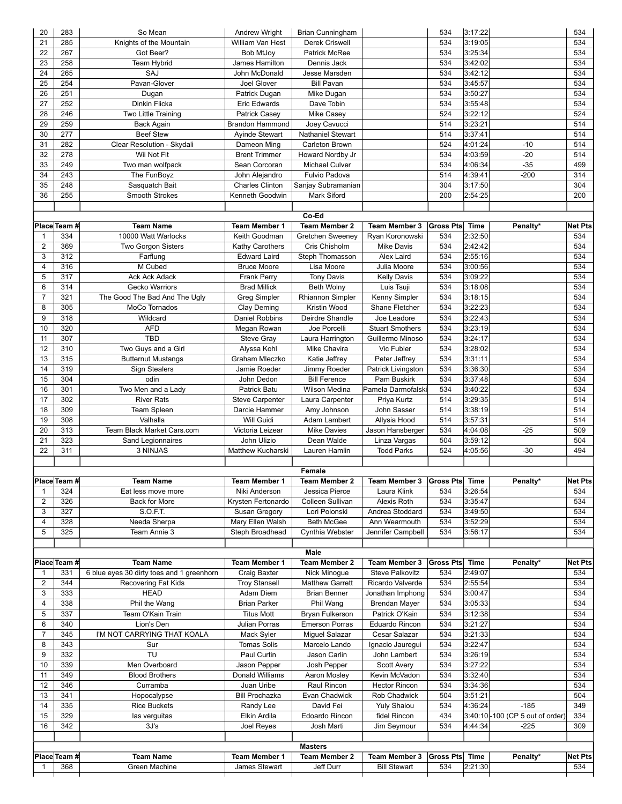| 20                  | 283          | So Mean                                        | Andrew Wright                                  | Brian Cunningham                 |                                                                 | 534              | 3:17:22            |                                 | 534                   |
|---------------------|--------------|------------------------------------------------|------------------------------------------------|----------------------------------|-----------------------------------------------------------------|------------------|--------------------|---------------------------------|-----------------------|
| 21                  | 285          | Knights of the Mountain                        | William Van Hest                               | Derek Criswell                   |                                                                 | 534              | 3:19:05            |                                 | 534                   |
| 22                  | 267          | Got Beer?                                      | <b>Bob MtJoy</b>                               | Patrick McRee                    |                                                                 | 534              | 3:25:34            |                                 | 534                   |
| 23                  | 258          | Team Hybrid                                    | James Hamilton                                 | Dennis Jack                      |                                                                 | 534              | 3:42:02            |                                 | 534                   |
| 24                  | 265          | SAJ                                            | John McDonald                                  | Jesse Marsden                    |                                                                 | 534              | 3:42:12            |                                 | 534                   |
| 25                  | 254          | Pavan-Glover                                   | <b>Joel Glover</b>                             | <b>Bill Pavan</b>                |                                                                 | 534              | 3:45:57            |                                 | 534                   |
| 26<br>27            | 251<br>252   | Dugan<br>Dinkin Flicka                         | Patrick Dugan                                  | Mike Dugan<br>Dave Tobin         |                                                                 | 534<br>534       | 3:50:27<br>3:55:48 |                                 | 534<br>534            |
| 28                  | 246          | Two Little Training                            | <b>Eric Edwards</b>                            | <b>Mike Casey</b>                |                                                                 | 524              | 3:22:12            |                                 | 524                   |
| 29                  | 259          | Back Again                                     | <b>Patrick Casey</b><br><b>Brandon Hammond</b> | Joey Cavucci                     |                                                                 | 514              | 3:23:21            |                                 | 514                   |
| 30                  | 277          | <b>Beef Stew</b>                               | <b>Avinde Stewart</b>                          | Nathaniel Stewart                |                                                                 | 514              | 3:37:41            |                                 | 514                   |
| 31                  | 282          | Clear Resolution - Skydali                     | Dameon Ming                                    | Carleton Brown                   |                                                                 | 524              | 4:01:24            | $-10$                           | 514                   |
| 32                  | 278          | Wii Not Fit                                    | <b>Brent Trimmer</b>                           | Howard Nordby Jr                 |                                                                 | 534              | 4:03:59            | $-20$                           | 514                   |
| 33                  | 249          | Two man wolfpack                               | Sean Corcoran                                  | Michael Culver                   |                                                                 | 534              | 4:06:34            | $-35$                           | 499                   |
| 34                  | 243          | The FunBoyz                                    | John Alejandro                                 | Fulvio Padova                    |                                                                 | 514              | 4:39:41            | $-200$                          | 314                   |
| 35                  | 248          | Sasquatch Bait                                 | <b>Charles Clinton</b>                         | Sanjay Subramanian               |                                                                 | 304              | 3:17:50            |                                 | 304                   |
| 36                  | 255          | <b>Smooth Strokes</b>                          | Kenneth Goodwin                                | Mark Siford                      |                                                                 | 200              | 2:54:25            |                                 | 200                   |
|                     |              |                                                |                                                |                                  |                                                                 |                  |                    |                                 |                       |
|                     |              |                                                |                                                | Co-Ed                            |                                                                 |                  |                    |                                 |                       |
|                     | Place Team # | <b>Team Name</b>                               | <b>Team Member 1</b>                           | <b>Team Member 2</b>             | <b>Team Member 3</b>                                            | <b>Gross Pts</b> | <b>Time</b>        | Penalty*                        | <b>Net Pts</b>        |
| $\mathbf 1$         | 334          | 10000 Watt Warlocks                            | Keith Goodman                                  | Gretchen Sweeney                 | Ryan Koronowski                                                 | 534              | 2:32:50            |                                 | 534                   |
| $\overline{2}$      | 369          | Two Gorgon Sisters                             | Kathy Carothers                                | Cris Chisholm                    | <b>Mike Davis</b>                                               | 534              | 2:42:42            |                                 | 534                   |
| 3                   | 312          | Farflung                                       | <b>Edward Laird</b>                            | Steph Thomasson                  | Alex Laird                                                      | 534              | 2:55:16            |                                 | 534                   |
| 4                   | 316          | M Cubed                                        | <b>Bruce Moore</b>                             | Lisa Moore                       | Julia Moore                                                     | 534              | 3:00:56            |                                 | 534                   |
| 5                   | 317          | <b>Ack Ack Adack</b>                           | <b>Frank Perry</b>                             | <b>Tony Davis</b>                | <b>Kelly Davis</b>                                              | 534              | 3:09:22            |                                 | 534                   |
| 6                   | 314          | Gecko Warriors                                 | <b>Brad Millick</b>                            | <b>Beth Wolny</b>                | Luis Tsuji                                                      | 534              | 3:18:08            |                                 | 534                   |
| $\overline{7}$<br>8 | 321<br>305   | The Good The Bad And The Ugly<br>MoCo Tornados | Greg Simpler                                   | Rhiannon Simpler<br>Kristin Wood | Kenny Simpler<br>Shane Fletcher                                 | 534<br>534       | 3:18:15<br>3:22:23 |                                 | 534<br>534            |
| 9                   | 318          | Wildcard                                       | Clay Deming<br><b>Daniel Robbins</b>           | Deirdre Shandle                  | Joe Leadore                                                     | 534              | 3:22:43            |                                 | 534                   |
| 10                  | 320          | <b>AFD</b>                                     | Megan Rowan                                    | Joe Porcelli                     | <b>Stuart Smothers</b>                                          | 534              | 3:23:19            |                                 | 534                   |
| 11                  | 307          | <b>TBD</b>                                     | <b>Steve Gray</b>                              | Laura Harrington                 | Guillermo Minoso                                                | 534              | 3:24:17            |                                 | 534                   |
| 12                  | 310          | Two Guys and a Girl                            | Alyssa Kohl                                    | Mike Chavira                     | Vic Fubler                                                      | 534              | 3:28:02            |                                 | 534                   |
| 13                  | 315          | <b>Butternut Mustangs</b>                      | Graham Mleczko                                 | Katie Jeffrey                    | Peter Jeffrey                                                   | 534              | 3:31:11            |                                 | 534                   |
| 14                  | 319          | <b>Sign Stealers</b>                           | Jamie Roeder                                   | Jimmy Roeder                     | Patrick Livingston                                              | 534              | 3:36:30            |                                 | 534                   |
| 15                  | 304          | odin                                           | John Dedon                                     | <b>Bill Ference</b>              | Pam Buskirk                                                     | 534              | 3:37:48            |                                 | 534                   |
| 16                  | 301          | Two Men and a Lady                             | Patrick Batu                                   | Wilson Medina                    | Pamela Darmofalski                                              | 534              | 3:40:22            |                                 | 534                   |
| 17                  | 302          | <b>River Rats</b>                              | <b>Steve Carpenter</b>                         | Laura Carpenter                  | Priya Kurtz                                                     | 514              | 3:29:35            |                                 | 514                   |
| 18                  | 309          | Team Spleen                                    | Darcie Hammer                                  | Amy Johnson                      | John Sasser                                                     | 514              | 3:38:19            |                                 | 514                   |
| 19                  | 308          | Valhalla                                       | Will Guidi                                     | Adam Lambert                     | Allysia Hood                                                    | 514              | 3:57:31            |                                 | 514                   |
| 20                  | 313          | <b>Team Black Market Cars.com</b>              | Victoria Leizear                               | <b>Mike Davies</b>               | Jason Hansberger                                                | 534              | 4:04:08            | $-25$                           | 509                   |
| 21                  | 323          | Sand Legionnaires                              | John Ulizio                                    | Dean Walde                       | Linza Vargas                                                    | 504              | 3:59:12            |                                 | 504                   |
| 22                  | 311          | 3 NINJAS                                       | Matthew Kucharski                              | Lauren Hamlin                    | <b>Todd Parks</b>                                               | 524              | 4:05:56            | $-30$                           | 494                   |
|                     |              |                                                |                                                |                                  |                                                                 |                  |                    |                                 |                       |
|                     | Place Team # |                                                |                                                | Female                           |                                                                 |                  |                    |                                 |                       |
| $\mathbf{1}$        | 324          | <b>Team Name</b>                               | Team Member 1                                  | Jessica Pierce                   | Team Member 2   Team Member 3   Gross Pts   Time<br>Laura Klink | 534              | 3:26:54            | Penalty*                        | <b>Net Pts</b><br>534 |
| $\overline{2}$      | 326          | Eat less move more<br>Back for More            | Niki Anderson<br>Krysten Fertonardo            | Colleen Sullivan                 | Alexis Roth                                                     | 534              | 3:35:47            |                                 | 534                   |
| 3                   | 327          | S.O.F.T.                                       | Susan Gregory                                  | Lori Polonski                    | Andrea Stoddard                                                 | 534              | 3:49:50            |                                 | 534                   |
| 4                   | 328          | Needa Sherpa                                   | Mary Ellen Walsh                               | <b>Beth McGee</b>                | Ann Wearmouth                                                   | 534              | 3:52:29            |                                 | 534                   |
| 5                   | 325          | Team Annie 3                                   | Steph Broadhead                                | Cynthia Webster                  | Jennifer Campbell                                               | 534              | 3:56:17            |                                 | 534                   |
|                     |              |                                                |                                                |                                  |                                                                 |                  |                    |                                 |                       |
|                     |              |                                                |                                                | Male                             |                                                                 |                  |                    |                                 |                       |
|                     | Place Team # | <b>Team Name</b>                               | <b>Team Member 1</b>                           | <b>Team Member 2</b>             | <b>Team Member 3</b>                                            | <b>Gross Pts</b> | <b>Time</b>        | Penalty*                        | <b>Net Pts</b>        |
| -1                  | 331          | 6 blue eyes 30 dirty toes and 1 greenhorn      | Craig Baxter                                   | Nick Minogue                     | <b>Steve Palkovitz</b>                                          | 534              | 2:49:07            |                                 | 534                   |
| 2                   | 344          | Recovering Fat Kids                            | <b>Troy Stansell</b>                           | Matthew Garrett                  | Ricardo Valverde                                                | 534              | 2:55:54            |                                 | 534                   |
| 3                   | 333          | <b>HEAD</b>                                    | Adam Diem                                      | <b>Brian Benner</b>              | Jonathan Imphong                                                | 534              | 3:00:47            |                                 | 534                   |
| 4                   | 338          | Phil the Wang                                  | <b>Brian Parker</b>                            | Phil Wang                        | <b>Brendan Mayer</b>                                            | 534              | 3:05:33            |                                 | 534                   |
| 5                   | 337          | Team O'Kain Train                              | <b>Titus Mott</b>                              | Bryan Fulkerson                  | Patrick O'Kain                                                  | 534              | 3:12:38            |                                 | 534                   |
| 6                   | 340          | Lion's Den                                     | Julian Porras                                  | <b>Emerson Porras</b>            | Eduardo Rincon                                                  | 534              | 3:21:27            |                                 | 534                   |
| $\overline{7}$<br>8 | 345<br>343   | I'M NOT CARRYING THAT KOALA<br>Sur             | Mack Syler<br><b>Tomas Solis</b>               | Miguel Salazar<br>Marcelo Lando  | Cesar Salazar                                                   | 534<br>534       | 3:21:33<br>3:22:47 |                                 | 534<br>534            |
| 9                   | 332          | TU                                             | Paul Curtin                                    | Jason Carlin                     | Ignacio Jauregui<br>John Lambert                                | 534              | 3:26:19            |                                 | 534                   |
| 10                  | 339          | Men Overboard                                  | Jason Pepper                                   | Josh Pepper                      | Scott Avery                                                     | 534              | 3:27:22            |                                 | 534                   |
| 11                  | 349          | <b>Blood Brothers</b>                          | Donald Williams                                | Aaron Mosley                     | Kevin McVadon                                                   | 534              | 3:32:40            |                                 | 534                   |
| 12                  | 346          | Curramba                                       | Juan Uribe                                     | Raul Rincon                      | <b>Hector Rincon</b>                                            | 534              | 3:34:36            |                                 | 534                   |
| 13                  | 341          | Hopocalypse                                    | <b>Bill Prochazka</b>                          | Evan Chadwick                    | Rob Chadwick                                                    | 504              | 3:51:21            |                                 | 504                   |
| 14                  | 335          | <b>Rice Buckets</b>                            | Randy Lee                                      | David Fei                        | <b>Yuly Shaiou</b>                                              | 534              | 4:36:24            | $-185$                          | 349                   |
| 15                  | 329          | las verguitas                                  | Elkin Ardila                                   | Edoardo Rincon                   | fidel Rincon                                                    | 434              |                    | 3:40:10-100 (CP 5 out of order) | 334                   |
| 16                  | 342          | $3J\$ s                                        | Joel Reyes                                     | Josh Marti                       | Jim Seymour                                                     | 534              | 4:44:34            | $-225$                          | 309                   |
|                     |              |                                                |                                                |                                  |                                                                 |                  |                    |                                 |                       |
|                     |              |                                                |                                                | <b>Masters</b>                   |                                                                 |                  |                    |                                 |                       |
|                     | Place Team # | <b>Team Name</b>                               | Team Member 1                                  | <b>Team Member 2</b>             | <b>Team Member 3</b>                                            | <b>Gross Pts</b> | <b>Time</b>        | Penalty*                        | <b>Net Pts</b>        |
| -1                  | 368          | Green Machine                                  | James Stewart                                  | Jeff Durr                        | <b>Bill Stewart</b>                                             | 534              | 2:21:30            |                                 | 534                   |
|                     |              |                                                |                                                |                                  |                                                                 |                  |                    |                                 |                       |